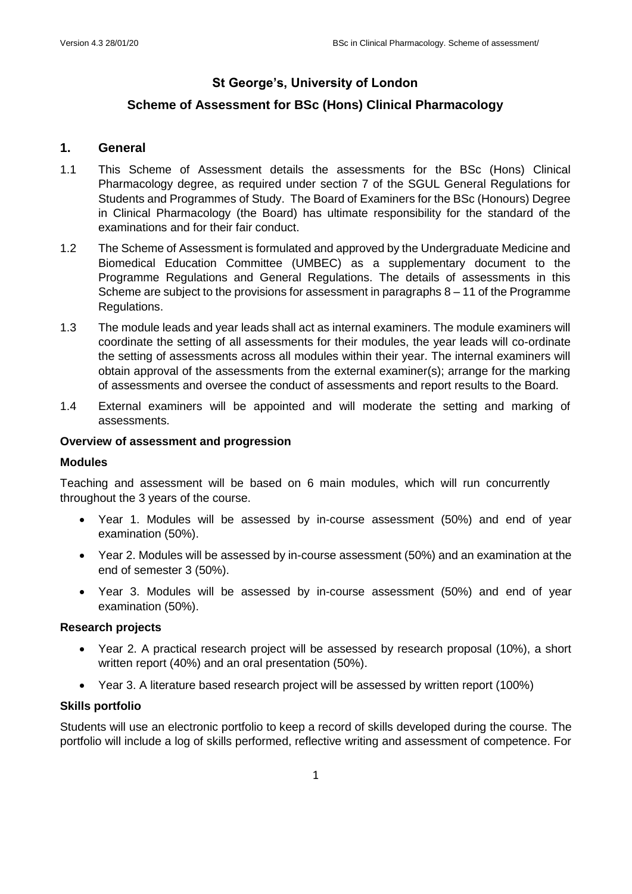# **St George's, University of London**

# **Scheme of Assessment for BSc (Hons) Clinical Pharmacology**

# **1. General**

- 1.1 This Scheme of Assessment details the assessments for the BSc (Hons) Clinical Pharmacology degree, as required under section 7 of the SGUL General Regulations for Students and Programmes of Study. The Board of Examiners for the BSc (Honours) Degree in Clinical Pharmacology (the Board) has ultimate responsibility for the standard of the examinations and for their fair conduct.
- 1.2 The Scheme of Assessment is formulated and approved by the Undergraduate Medicine and Biomedical Education Committee (UMBEC) as a supplementary document to the Programme Regulations and General Regulations. The details of assessments in this Scheme are subject to the provisions for assessment in paragraphs  $8 - 11$  of the Programme Regulations.
- 1.3 The module leads and year leads shall act as internal examiners. The module examiners will coordinate the setting of all assessments for their modules, the year leads will co-ordinate the setting of assessments across all modules within their year. The internal examiners will obtain approval of the assessments from the external examiner(s); arrange for the marking of assessments and oversee the conduct of assessments and report results to the Board.
- 1.4 External examiners will be appointed and will moderate the setting and marking of assessments.

### **Overview of assessment and progression**

### **Modules**

Teaching and assessment will be based on 6 main modules, which will run concurrently throughout the 3 years of the course.

- Year 1. Modules will be assessed by in-course assessment (50%) and end of year examination (50%).
- Year 2. Modules will be assessed by in-course assessment (50%) and an examination at the end of semester 3 (50%).
- Year 3. Modules will be assessed by in-course assessment (50%) and end of year examination (50%).

### **Research projects**

- Year 2. A practical research project will be assessed by research proposal (10%), a short written report (40%) and an oral presentation (50%).
- Year 3. A literature based research project will be assessed by written report (100%)

### **Skills portfolio**

Students will use an electronic portfolio to keep a record of skills developed during the course. The portfolio will include a log of skills performed, reflective writing and assessment of competence. For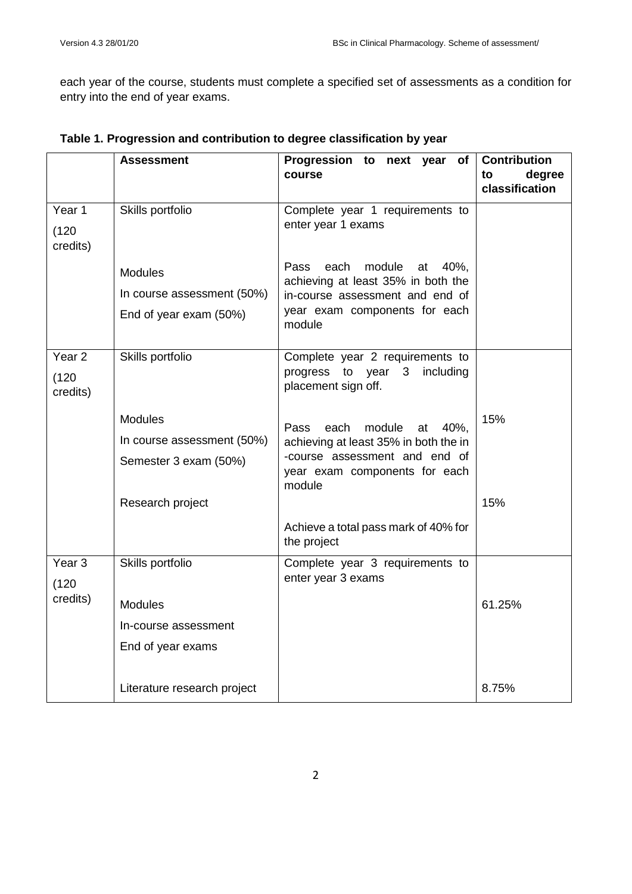each year of the course, students must complete a specified set of assessments as a condition for entry into the end of year exams.

|                     | <b>Assessment</b>           | Progression to next year of<br>course                                      | <b>Contribution</b><br>degree<br>to<br>classification |
|---------------------|-----------------------------|----------------------------------------------------------------------------|-------------------------------------------------------|
| Year 1              | Skills portfolio            | Complete year 1 requirements to                                            |                                                       |
| (120)<br>credits)   |                             | enter year 1 exams                                                         |                                                       |
|                     | <b>Modules</b>              | Pass<br>each<br>module<br>40%,<br>at<br>achieving at least 35% in both the |                                                       |
|                     | In course assessment (50%)  | in-course assessment and end of                                            |                                                       |
|                     | End of year exam (50%)      | year exam components for each<br>module                                    |                                                       |
| Year <sub>2</sub>   | Skills portfolio            | Complete year 2 requirements to                                            |                                                       |
| (120)<br>credits)   |                             | to year<br>including<br>progress<br>$\mathbf{3}$<br>placement sign off.    |                                                       |
|                     | <b>Modules</b>              | Pass<br>each<br>module<br>at<br>40%.                                       | 15%                                                   |
|                     | In course assessment (50%)  | achieving at least 35% in both the in                                      |                                                       |
|                     | Semester 3 exam (50%)       | -course assessment and end of<br>year exam components for each<br>module   |                                                       |
|                     | Research project            |                                                                            | 15%                                                   |
|                     |                             | Achieve a total pass mark of 40% for<br>the project                        |                                                       |
| Year $\overline{3}$ | Skills portfolio            | Complete year 3 requirements to                                            |                                                       |
| (120)               |                             | enter year 3 exams                                                         |                                                       |
| credits)            | <b>Modules</b>              |                                                                            | 61.25%                                                |
|                     | In-course assessment        |                                                                            |                                                       |
|                     | End of year exams           |                                                                            |                                                       |
|                     | Literature research project |                                                                            | 8.75%                                                 |

**Table 1. Progression and contribution to degree classification by year**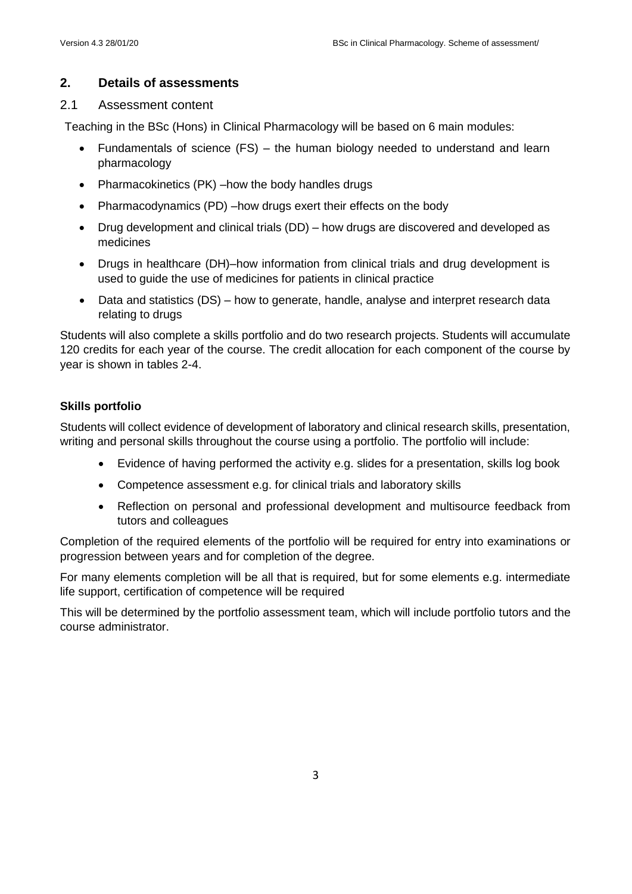# **2. Details of assessments**

### 2.1 Assessment content

Teaching in the BSc (Hons) in Clinical Pharmacology will be based on 6 main modules:

- Fundamentals of science (FS) the human biology needed to understand and learn pharmacology
- Pharmacokinetics (PK) –how the body handles drugs
- Pharmacodynamics (PD) –how drugs exert their effects on the body
- Drug development and clinical trials (DD) how drugs are discovered and developed as medicines
- Drugs in healthcare (DH)–how information from clinical trials and drug development is used to guide the use of medicines for patients in clinical practice
- Data and statistics (DS) how to generate, handle, analyse and interpret research data relating to drugs

Students will also complete a skills portfolio and do two research projects. Students will accumulate 120 credits for each year of the course. The credit allocation for each component of the course by year is shown in tables 2-4.

# **Skills portfolio**

Students will collect evidence of development of laboratory and clinical research skills, presentation, writing and personal skills throughout the course using a portfolio. The portfolio will include:

- Evidence of having performed the activity e.g. slides for a presentation, skills log book
- Competence assessment e.g. for clinical trials and laboratory skills
- Reflection on personal and professional development and multisource feedback from tutors and colleagues

Completion of the required elements of the portfolio will be required for entry into examinations or progression between years and for completion of the degree.

For many elements completion will be all that is required, but for some elements e.g. intermediate life support, certification of competence will be required

This will be determined by the portfolio assessment team, which will include portfolio tutors and the course administrator.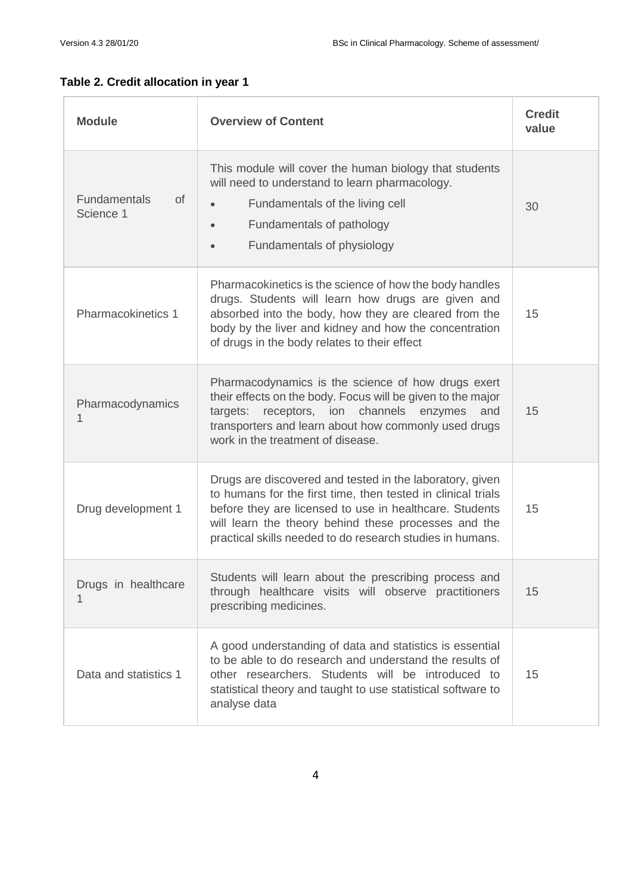| <b>Module</b>                          | <b>Overview of Content</b>                                                                                                                                                                                                                                                                               | <b>Credit</b><br>value |
|----------------------------------------|----------------------------------------------------------------------------------------------------------------------------------------------------------------------------------------------------------------------------------------------------------------------------------------------------------|------------------------|
| <b>Fundamentals</b><br>0f<br>Science 1 | This module will cover the human biology that students<br>will need to understand to learn pharmacology.<br>Fundamentals of the living cell<br>Fundamentals of pathology<br>$\bullet$<br>Fundamentals of physiology<br>$\bullet$                                                                         | 30                     |
| Pharmacokinetics 1                     | Pharmacokinetics is the science of how the body handles<br>drugs. Students will learn how drugs are given and<br>absorbed into the body, how they are cleared from the<br>body by the liver and kidney and how the concentration<br>of drugs in the body relates to their effect                         | 15                     |
| Pharmacodynamics<br>1                  | Pharmacodynamics is the science of how drugs exert<br>their effects on the body. Focus will be given to the major<br>receptors, ion channels enzymes<br>targets:<br>and<br>transporters and learn about how commonly used drugs<br>work in the treatment of disease.                                     | 15                     |
| Drug development 1                     | Drugs are discovered and tested in the laboratory, given<br>to humans for the first time, then tested in clinical trials<br>before they are licensed to use in healthcare. Students<br>will learn the theory behind these processes and the<br>practical skills needed to do research studies in humans. | 15                     |
| Drugs in healthcare                    | Students will learn about the prescribing process and<br>through healthcare visits will observe practitioners<br>prescribing medicines.                                                                                                                                                                  | 15                     |
| Data and statistics 1                  | A good understanding of data and statistics is essential<br>to be able to do research and understand the results of<br>other researchers. Students will be introduced to<br>statistical theory and taught to use statistical software to<br>analyse data                                                 | 15                     |

# **Table 2. Credit allocation in year 1**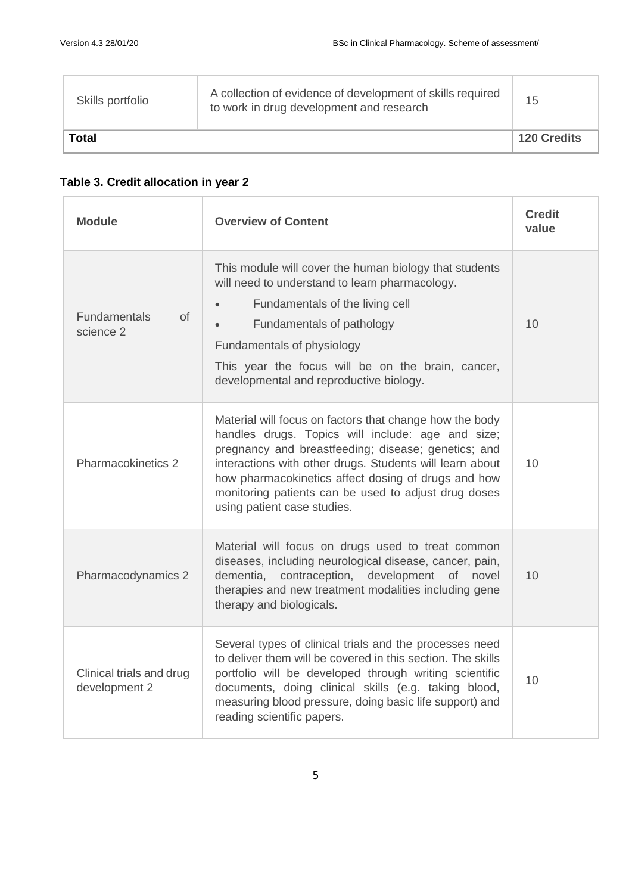| Skills portfolio | A collection of evidence of development of skills required<br>to work in drug development and research | 15                 |
|------------------|--------------------------------------------------------------------------------------------------------|--------------------|
| Total            |                                                                                                        | <b>120 Credits</b> |

# **Table 3. Credit allocation in year 2**

| <b>Overview of Content</b><br><b>Module</b>                                                                                                                                                                                                                                                                                                                                    |                                                                                                                                                                                                                                                                                                                                                                               | <b>Credit</b><br>value |
|--------------------------------------------------------------------------------------------------------------------------------------------------------------------------------------------------------------------------------------------------------------------------------------------------------------------------------------------------------------------------------|-------------------------------------------------------------------------------------------------------------------------------------------------------------------------------------------------------------------------------------------------------------------------------------------------------------------------------------------------------------------------------|------------------------|
| <b>Fundamentals</b><br>of<br>science 2                                                                                                                                                                                                                                                                                                                                         | This module will cover the human biology that students<br>will need to understand to learn pharmacology.<br>Fundamentals of the living cell<br>Fundamentals of pathology<br>Fundamentals of physiology<br>This year the focus will be on the brain, cancer,<br>developmental and reproductive biology.                                                                        | 10                     |
| Pharmacokinetics 2                                                                                                                                                                                                                                                                                                                                                             | Material will focus on factors that change how the body<br>handles drugs. Topics will include: age and size;<br>pregnancy and breastfeeding; disease; genetics; and<br>interactions with other drugs. Students will learn about<br>how pharmacokinetics affect dosing of drugs and how<br>monitoring patients can be used to adjust drug doses<br>using patient case studies. | 10                     |
| Pharmacodynamics 2                                                                                                                                                                                                                                                                                                                                                             | Material will focus on drugs used to treat common<br>diseases, including neurological disease, cancer, pain,<br>dementia, contraception, development of novel<br>therapies and new treatment modalities including gene<br>therapy and biologicals.                                                                                                                            | 10                     |
| Several types of clinical trials and the processes need<br>to deliver them will be covered in this section. The skills<br>portfolio will be developed through writing scientific<br>Clinical trials and drug<br>documents, doing clinical skills (e.g. taking blood,<br>development 2<br>measuring blood pressure, doing basic life support) and<br>reading scientific papers. |                                                                                                                                                                                                                                                                                                                                                                               | 10                     |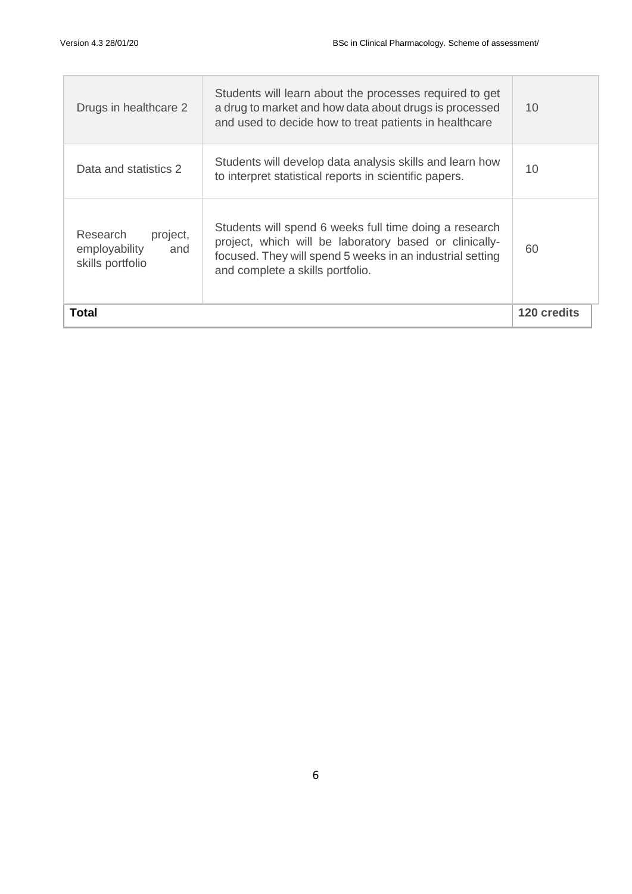| Total                                                            |                                                                                                                                                                                                                   |    |
|------------------------------------------------------------------|-------------------------------------------------------------------------------------------------------------------------------------------------------------------------------------------------------------------|----|
| Research<br>project,<br>employability<br>and<br>skills portfolio | Students will spend 6 weeks full time doing a research<br>project, which will be laboratory based or clinically-<br>focused. They will spend 5 weeks in an industrial setting<br>and complete a skills portfolio. | 60 |
| Data and statistics 2                                            | Students will develop data analysis skills and learn how<br>to interpret statistical reports in scientific papers.                                                                                                | 10 |
| Drugs in healthcare 2                                            | Students will learn about the processes required to get<br>a drug to market and how data about drugs is processed<br>and used to decide how to treat patients in healthcare                                       | 10 |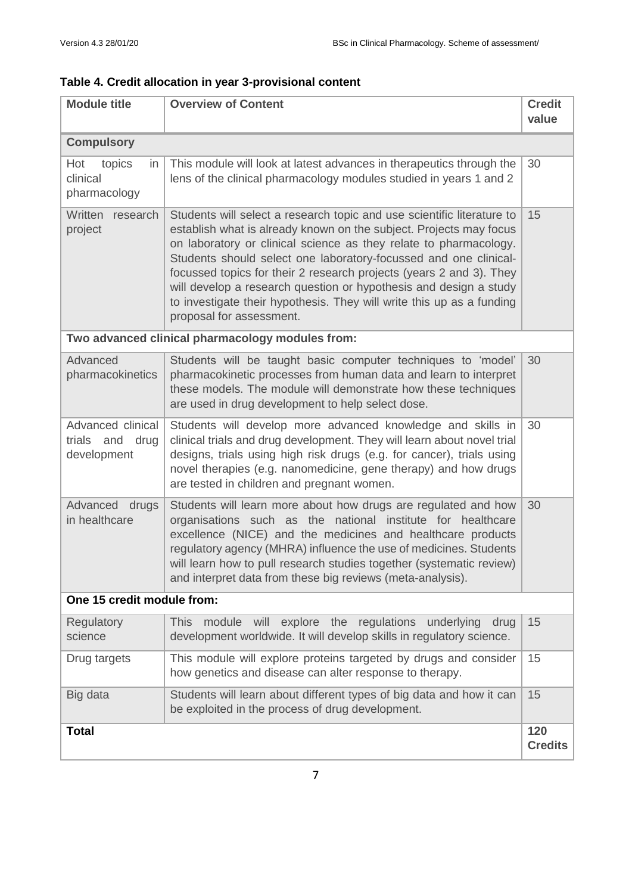| Table 4. Credit allocation in year 3-provisional content |  |  |
|----------------------------------------------------------|--|--|
|----------------------------------------------------------|--|--|

| <b>Module title</b>                                    | <b>Overview of Content</b>                                                                                                                                                                                                                                                                                                                                                                                                                                                                                                             | <b>Credit</b><br>value |  |
|--------------------------------------------------------|----------------------------------------------------------------------------------------------------------------------------------------------------------------------------------------------------------------------------------------------------------------------------------------------------------------------------------------------------------------------------------------------------------------------------------------------------------------------------------------------------------------------------------------|------------------------|--|
| <b>Compulsory</b>                                      |                                                                                                                                                                                                                                                                                                                                                                                                                                                                                                                                        |                        |  |
| Hot<br>topics<br>in<br>clinical<br>pharmacology        | This module will look at latest advances in therapeutics through the<br>lens of the clinical pharmacology modules studied in years 1 and 2                                                                                                                                                                                                                                                                                                                                                                                             | 30                     |  |
| Written<br>research<br>project                         | Students will select a research topic and use scientific literature to<br>establish what is already known on the subject. Projects may focus<br>on laboratory or clinical science as they relate to pharmacology.<br>Students should select one laboratory-focussed and one clinical-<br>focussed topics for their 2 research projects (years 2 and 3). They<br>will develop a research question or hypothesis and design a study<br>to investigate their hypothesis. They will write this up as a funding<br>proposal for assessment. | 15                     |  |
|                                                        | Two advanced clinical pharmacology modules from:                                                                                                                                                                                                                                                                                                                                                                                                                                                                                       |                        |  |
| Advanced<br>pharmacokinetics                           | Students will be taught basic computer techniques to 'model'<br>pharmacokinetic processes from human data and learn to interpret<br>these models. The module will demonstrate how these techniques<br>are used in drug development to help select dose.                                                                                                                                                                                                                                                                                | 30                     |  |
| Advanced clinical<br>trials and<br>drug<br>development | Students will develop more advanced knowledge and skills in<br>clinical trials and drug development. They will learn about novel trial<br>designs, trials using high risk drugs (e.g. for cancer), trials using<br>novel therapies (e.g. nanomedicine, gene therapy) and how drugs<br>are tested in children and pregnant women.                                                                                                                                                                                                       | 30                     |  |
| Advanced<br>drugs<br>in healthcare                     | Students will learn more about how drugs are regulated and how<br>organisations such as the national institute for healthcare<br>excellence (NICE) and the medicines and healthcare products<br>regulatory agency (MHRA) influence the use of medicines. Students<br>will learn how to pull research studies together (systematic review)<br>and interpret data from these big reviews (meta-analysis).                                                                                                                                | 30                     |  |
| One 15 credit module from:                             |                                                                                                                                                                                                                                                                                                                                                                                                                                                                                                                                        |                        |  |
| Regulatory<br>science                                  | <b>This</b><br>module<br>will<br>explore the regulations underlying<br>drug<br>development worldwide. It will develop skills in regulatory science.                                                                                                                                                                                                                                                                                                                                                                                    | 15                     |  |
| Drug targets                                           | This module will explore proteins targeted by drugs and consider<br>how genetics and disease can alter response to therapy.                                                                                                                                                                                                                                                                                                                                                                                                            | 15                     |  |
| Big data                                               | Students will learn about different types of big data and how it can<br>be exploited in the process of drug development.                                                                                                                                                                                                                                                                                                                                                                                                               | 15                     |  |
| <b>Total</b>                                           |                                                                                                                                                                                                                                                                                                                                                                                                                                                                                                                                        | 120<br><b>Credits</b>  |  |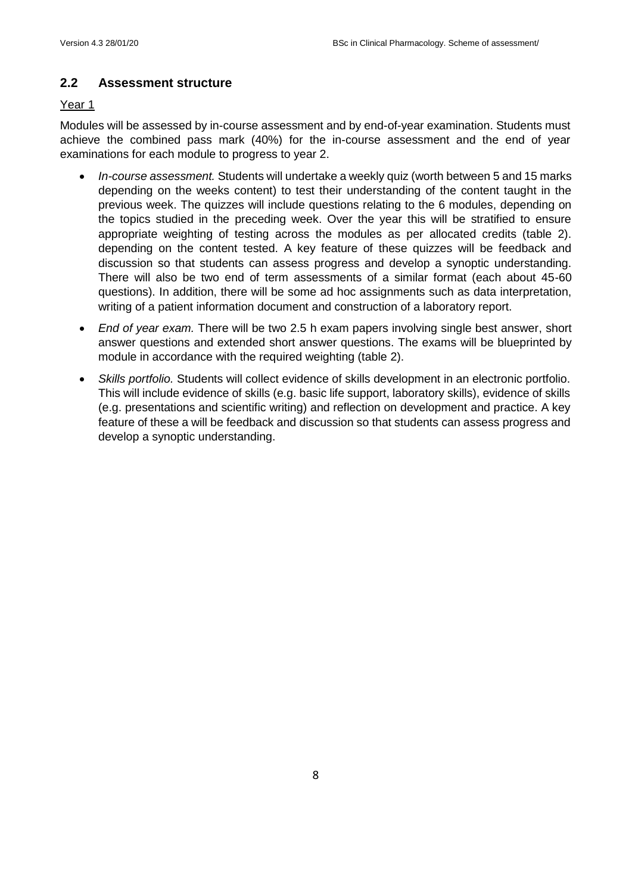# **2.2 Assessment structure**

### Year 1

Modules will be assessed by in-course assessment and by end-of-year examination. Students must achieve the combined pass mark (40%) for the in-course assessment and the end of year examinations for each module to progress to year 2.

- *In-course assessment.* Students will undertake a weekly quiz (worth between 5 and 15 marks depending on the weeks content) to test their understanding of the content taught in the previous week. The quizzes will include questions relating to the 6 modules, depending on the topics studied in the preceding week. Over the year this will be stratified to ensure appropriate weighting of testing across the modules as per allocated credits (table 2). depending on the content tested. A key feature of these quizzes will be feedback and discussion so that students can assess progress and develop a synoptic understanding. There will also be two end of term assessments of a similar format (each about 45-60 questions). In addition, there will be some ad hoc assignments such as data interpretation, writing of a patient information document and construction of a laboratory report.
- *End of year exam.* There will be two 2.5 h exam papers involving single best answer, short answer questions and extended short answer questions. The exams will be blueprinted by module in accordance with the required weighting (table 2).
- *Skills portfolio.* Students will collect evidence of skills development in an electronic portfolio. This will include evidence of skills (e.g. basic life support, laboratory skills), evidence of skills (e.g. presentations and scientific writing) and reflection on development and practice. A key feature of these a will be feedback and discussion so that students can assess progress and develop a synoptic understanding.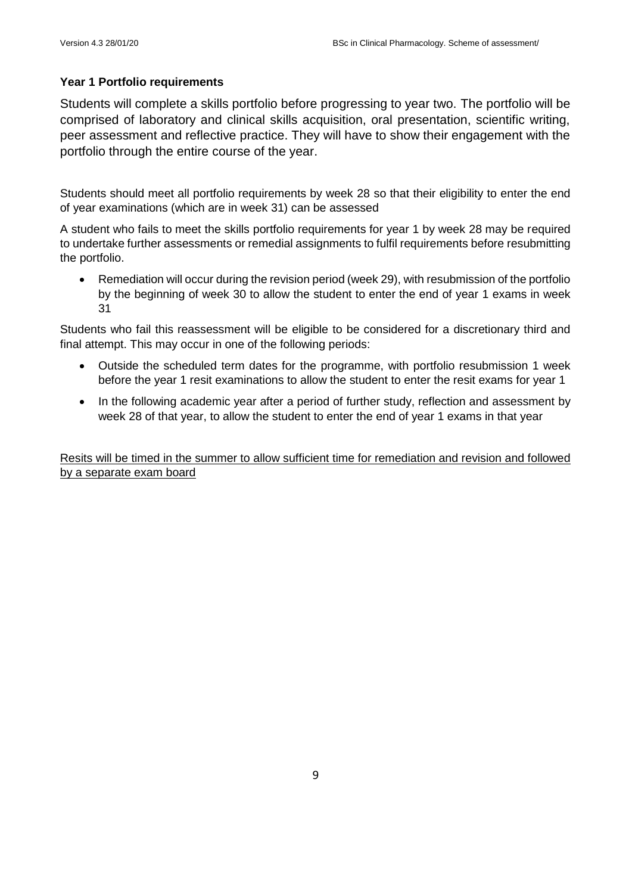### **Year 1 Portfolio requirements**

Students will complete a skills portfolio before progressing to year two. The portfolio will be comprised of laboratory and clinical skills acquisition, oral presentation, scientific writing, peer assessment and reflective practice. They will have to show their engagement with the portfolio through the entire course of the year.

Students should meet all portfolio requirements by week 28 so that their eligibility to enter the end of year examinations (which are in week 31) can be assessed

A student who fails to meet the skills portfolio requirements for year 1 by week 28 may be required to undertake further assessments or remedial assignments to fulfil requirements before resubmitting the portfolio.

• Remediation will occur during the revision period (week 29), with resubmission of the portfolio by the beginning of week 30 to allow the student to enter the end of year 1 exams in week 31

Students who fail this reassessment will be eligible to be considered for a discretionary third and final attempt. This may occur in one of the following periods:

- Outside the scheduled term dates for the programme, with portfolio resubmission 1 week before the year 1 resit examinations to allow the student to enter the resit exams for year 1
- In the following academic year after a period of further study, reflection and assessment by week 28 of that year, to allow the student to enter the end of year 1 exams in that year

Resits will be timed in the summer to allow sufficient time for remediation and revision and followed by a separate exam board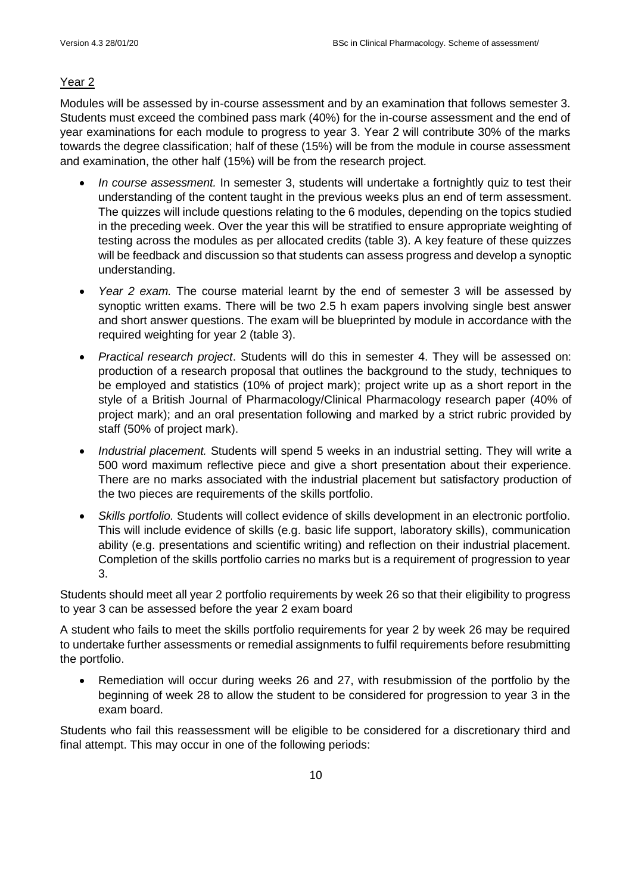# Year<sub>2</sub>

Modules will be assessed by in-course assessment and by an examination that follows semester 3. Students must exceed the combined pass mark (40%) for the in-course assessment and the end of year examinations for each module to progress to year 3. Year 2 will contribute 30% of the marks towards the degree classification; half of these (15%) will be from the module in course assessment and examination, the other half (15%) will be from the research project.

- *In course assessment.* In semester 3, students will undertake a fortnightly quiz to test their understanding of the content taught in the previous weeks plus an end of term assessment. The quizzes will include questions relating to the 6 modules, depending on the topics studied in the preceding week. Over the year this will be stratified to ensure appropriate weighting of testing across the modules as per allocated credits (table 3). A key feature of these quizzes will be feedback and discussion so that students can assess progress and develop a synoptic understanding.
- *Year 2 exam.* The course material learnt by the end of semester 3 will be assessed by synoptic written exams. There will be two 2.5 h exam papers involving single best answer and short answer questions. The exam will be blueprinted by module in accordance with the required weighting for year 2 (table 3).
- *Practical research project*. Students will do this in semester 4. They will be assessed on: production of a research proposal that outlines the background to the study, techniques to be employed and statistics (10% of project mark); project write up as a short report in the style of a British Journal of Pharmacology/Clinical Pharmacology research paper (40% of project mark); and an oral presentation following and marked by a strict rubric provided by staff (50% of project mark).
- *Industrial placement.* Students will spend 5 weeks in an industrial setting. They will write a 500 word maximum reflective piece and give a short presentation about their experience. There are no marks associated with the industrial placement but satisfactory production of the two pieces are requirements of the skills portfolio.
- *Skills portfolio.* Students will collect evidence of skills development in an electronic portfolio. This will include evidence of skills (e.g. basic life support, laboratory skills), communication ability (e.g. presentations and scientific writing) and reflection on their industrial placement. Completion of the skills portfolio carries no marks but is a requirement of progression to year 3.

Students should meet all year 2 portfolio requirements by week 26 so that their eligibility to progress to year 3 can be assessed before the year 2 exam board

A student who fails to meet the skills portfolio requirements for year 2 by week 26 may be required to undertake further assessments or remedial assignments to fulfil requirements before resubmitting the portfolio.

• Remediation will occur during weeks 26 and 27, with resubmission of the portfolio by the beginning of week 28 to allow the student to be considered for progression to year 3 in the exam board.

Students who fail this reassessment will be eligible to be considered for a discretionary third and final attempt. This may occur in one of the following periods: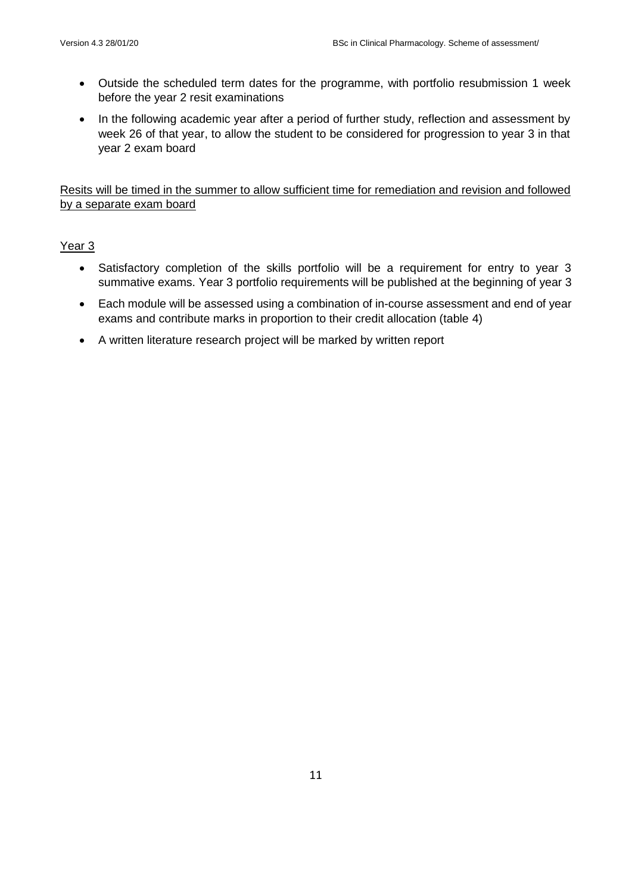- Outside the scheduled term dates for the programme, with portfolio resubmission 1 week before the year 2 resit examinations
- In the following academic year after a period of further study, reflection and assessment by week 26 of that year, to allow the student to be considered for progression to year 3 in that year 2 exam board

Resits will be timed in the summer to allow sufficient time for remediation and revision and followed by a separate exam board

## Year 3

- Satisfactory completion of the skills portfolio will be a requirement for entry to year 3 summative exams. Year 3 portfolio requirements will be published at the beginning of year 3
- Each module will be assessed using a combination of in-course assessment and end of year exams and contribute marks in proportion to their credit allocation (table 4)
- A written literature research project will be marked by written report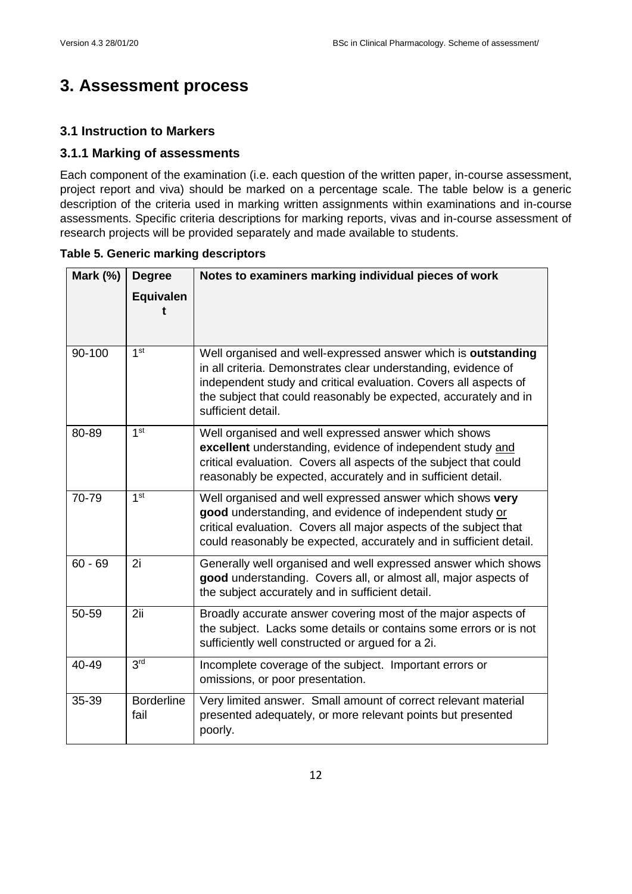# **3. Assessment process**

# **3.1 Instruction to Markers**

# **3.1.1 Marking of assessments**

Each component of the examination (i.e. each question of the written paper, in-course assessment, project report and viva) should be marked on a percentage scale. The table below is a generic description of the criteria used in marking written assignments within examinations and in-course assessments. Specific criteria descriptions for marking reports, vivas and in-course assessment of research projects will be provided separately and made available to students.

| Mark (%)  | <b>Degree</b><br><b>Equivalen</b> | Notes to examiners marking individual pieces of work                                                                                                                                                                                                                                          |
|-----------|-----------------------------------|-----------------------------------------------------------------------------------------------------------------------------------------------------------------------------------------------------------------------------------------------------------------------------------------------|
| 90-100    | 1 <sup>st</sup>                   | Well organised and well-expressed answer which is outstanding<br>in all criteria. Demonstrates clear understanding, evidence of<br>independent study and critical evaluation. Covers all aspects of<br>the subject that could reasonably be expected, accurately and in<br>sufficient detail. |
| 80-89     | 1 <sup>st</sup>                   | Well organised and well expressed answer which shows<br>excellent understanding, evidence of independent study and<br>critical evaluation. Covers all aspects of the subject that could<br>reasonably be expected, accurately and in sufficient detail.                                       |
| 70-79     | 1 <sup>st</sup>                   | Well organised and well expressed answer which shows very<br>good understanding, and evidence of independent study or<br>critical evaluation. Covers all major aspects of the subject that<br>could reasonably be expected, accurately and in sufficient detail.                              |
| $60 - 69$ | 2i                                | Generally well organised and well expressed answer which shows<br>good understanding. Covers all, or almost all, major aspects of<br>the subject accurately and in sufficient detail.                                                                                                         |
| 50-59     | 2ii                               | Broadly accurate answer covering most of the major aspects of<br>the subject. Lacks some details or contains some errors or is not<br>sufficiently well constructed or argued for a 2i.                                                                                                       |
| 40-49     | 3 <sup>rd</sup>                   | Incomplete coverage of the subject. Important errors or<br>omissions, or poor presentation.                                                                                                                                                                                                   |
| 35-39     | <b>Borderline</b><br>fail         | Very limited answer. Small amount of correct relevant material<br>presented adequately, or more relevant points but presented<br>poorly.                                                                                                                                                      |

### **Table 5. Generic marking descriptors**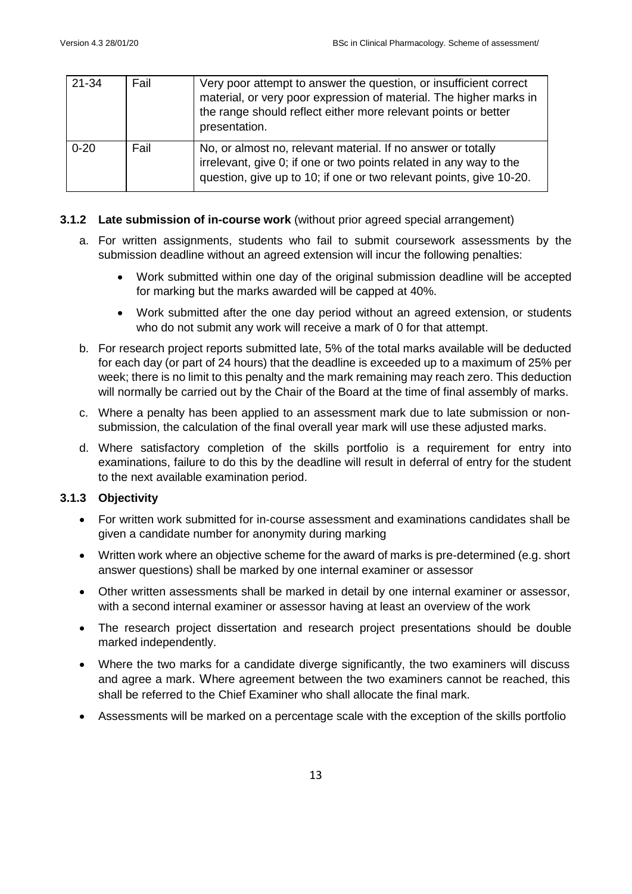| 21-34    | Fail | Very poor attempt to answer the question, or insufficient correct<br>material, or very poor expression of material. The higher marks in<br>the range should reflect either more relevant points or better<br>presentation. |
|----------|------|----------------------------------------------------------------------------------------------------------------------------------------------------------------------------------------------------------------------------|
| $0 - 20$ | Fail | No, or almost no, relevant material. If no answer or totally<br>irrelevant, give 0; if one or two points related in any way to the<br>question, give up to 10; if one or two relevant points, give 10-20.                  |

### **3.1.2 Late submission of in-course work** (without prior agreed special arrangement)

- a. For written assignments, students who fail to submit coursework assessments by the submission deadline without an agreed extension will incur the following penalties:
	- Work submitted within one day of the original submission deadline will be accepted for marking but the marks awarded will be capped at 40%.
	- Work submitted after the one day period without an agreed extension, or students who do not submit any work will receive a mark of 0 for that attempt.
- b. For research project reports submitted late, 5% of the total marks available will be deducted for each day (or part of 24 hours) that the deadline is exceeded up to a maximum of 25% per week; there is no limit to this penalty and the mark remaining may reach zero. This deduction will normally be carried out by the Chair of the Board at the time of final assembly of marks.
- c. Where a penalty has been applied to an assessment mark due to late submission or nonsubmission, the calculation of the final overall year mark will use these adjusted marks.
- d. Where satisfactory completion of the skills portfolio is a requirement for entry into examinations, failure to do this by the deadline will result in deferral of entry for the student to the next available examination period.

## **3.1.3 Objectivity**

- For written work submitted for in-course assessment and examinations candidates shall be given a candidate number for anonymity during marking
- Written work where an objective scheme for the award of marks is pre-determined (e.g. short answer questions) shall be marked by one internal examiner or assessor
- Other written assessments shall be marked in detail by one internal examiner or assessor, with a second internal examiner or assessor having at least an overview of the work
- The research project dissertation and research project presentations should be double marked independently.
- Where the two marks for a candidate diverge significantly, the two examiners will discuss and agree a mark. Where agreement between the two examiners cannot be reached, this shall be referred to the Chief Examiner who shall allocate the final mark.
- Assessments will be marked on a percentage scale with the exception of the skills portfolio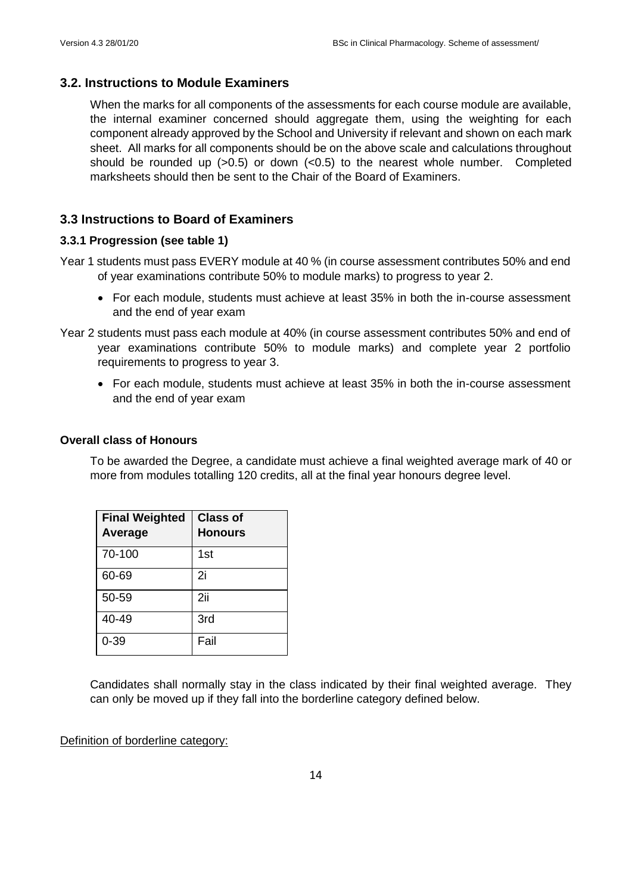### **3.2. Instructions to Module Examiners**

When the marks for all components of the assessments for each course module are available, the internal examiner concerned should aggregate them, using the weighting for each component already approved by the School and University if relevant and shown on each mark sheet. All marks for all components should be on the above scale and calculations throughout should be rounded up  $(>0.5)$  or down  $(<0.5)$  to the nearest whole number. Completed marksheets should then be sent to the Chair of the Board of Examiners.

### **3.3 Instructions to Board of Examiners**

### **3.3.1 Progression (see table 1)**

- Year 1 students must pass EVERY module at 40 % (in course assessment contributes 50% and end of year examinations contribute 50% to module marks) to progress to year 2.
	- For each module, students must achieve at least 35% in both the in-course assessment and the end of year exam
- Year 2 students must pass each module at 40% (in course assessment contributes 50% and end of year examinations contribute 50% to module marks) and complete year 2 portfolio requirements to progress to year 3.
	- For each module, students must achieve at least 35% in both the in-course assessment and the end of year exam

### **Overall class of Honours**

To be awarded the Degree, a candidate must achieve a final weighted average mark of 40 or more from modules totalling 120 credits, all at the final year honours degree level.

| <b>Final Weighted</b><br>Average | <b>Class of</b><br><b>Honours</b> |
|----------------------------------|-----------------------------------|
| 70-100                           | 1st                               |
| 60-69                            | 2i                                |
| 50-59                            | 2ii                               |
| 40-49                            | 3rd                               |
| $0 - 39$                         | Fail                              |

Candidates shall normally stay in the class indicated by their final weighted average. They can only be moved up if they fall into the borderline category defined below.

Definition of borderline category: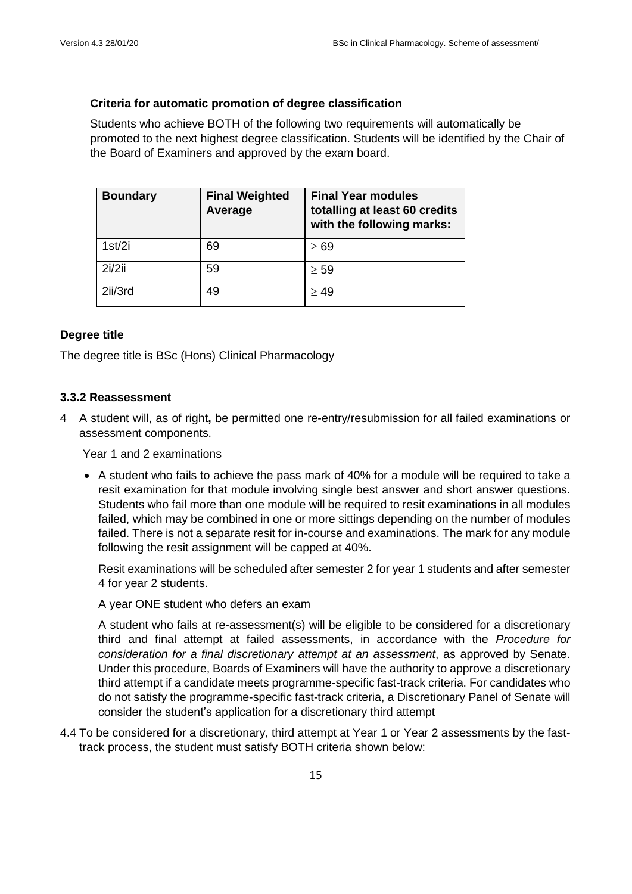### **Criteria for automatic promotion of degree classification**

Students who achieve BOTH of the following two requirements will automatically be promoted to the next highest degree classification. Students will be identified by the Chair of the Board of Examiners and approved by the exam board.

| <b>Boundary</b> | <b>Final Weighted</b><br>Average | <b>Final Year modules</b><br>totalling at least 60 credits<br>with the following marks: |
|-----------------|----------------------------------|-----------------------------------------------------------------------------------------|
| 1st/2i          | 69                               | $\geq 69$                                                                               |
| 2i/2ii          | 59                               | $\geq 59$                                                                               |
| 2ii/3rd         | 49                               | > 49                                                                                    |

### **Degree title**

The degree title is BSc (Hons) Clinical Pharmacology

#### **3.3.2 Reassessment**

4 A student will, as of right**,** be permitted one re-entry/resubmission for all failed examinations or assessment components.

Year 1 and 2 examinations

• A student who fails to achieve the pass mark of 40% for a module will be required to take a resit examination for that module involving single best answer and short answer questions. Students who fail more than one module will be required to resit examinations in all modules failed, which may be combined in one or more sittings depending on the number of modules failed. There is not a separate resit for in-course and examinations. The mark for any module following the resit assignment will be capped at 40%.

Resit examinations will be scheduled after semester 2 for year 1 students and after semester 4 for year 2 students.

A year ONE student who defers an exam

A student who fails at re-assessment(s) will be eligible to be considered for a discretionary third and final attempt at failed assessments, in accordance with the *Procedure for consideration for a final discretionary attempt at an assessment*, as approved by Senate. Under this procedure, Boards of Examiners will have the authority to approve a discretionary third attempt if a candidate meets programme-specific fast-track criteria. For candidates who do not satisfy the programme-specific fast-track criteria, a Discretionary Panel of Senate will consider the student's application for a discretionary third attempt

4.4 To be considered for a discretionary, third attempt at Year 1 or Year 2 assessments by the fasttrack process, the student must satisfy BOTH criteria shown below: